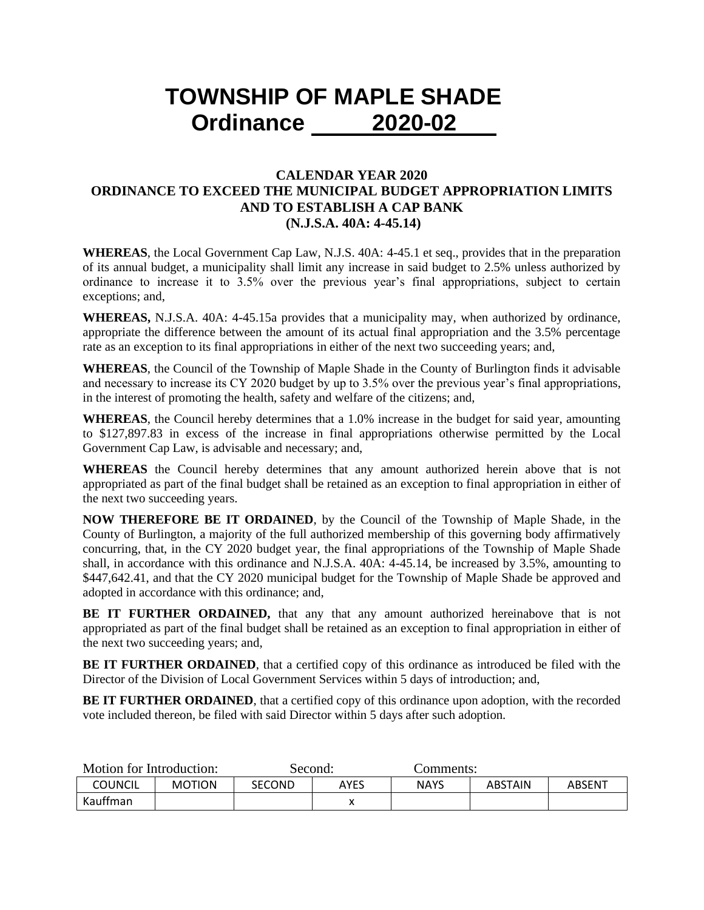## **TOWNSHIP OF MAPLE SHADE Ordinance 2020-02**

## **CALENDAR YEAR 2020 ORDINANCE TO EXCEED THE MUNICIPAL BUDGET APPROPRIATION LIMITS AND TO ESTABLISH A CAP BANK (N.J.S.A. 40A: 4-45.14)**

**WHEREAS**, the Local Government Cap Law, N.J.S. 40A: 4-45.1 et seq., provides that in the preparation of its annual budget, a municipality shall limit any increase in said budget to 2.5% unless authorized by ordinance to increase it to 3.5% over the previous year's final appropriations, subject to certain exceptions; and,

**WHEREAS,** N.J.S.A. 40A: 4-45.15a provides that a municipality may, when authorized by ordinance, appropriate the difference between the amount of its actual final appropriation and the 3.5% percentage rate as an exception to its final appropriations in either of the next two succeeding years; and,

**WHEREAS**, the Council of the Township of Maple Shade in the County of Burlington finds it advisable and necessary to increase its CY 2020 budget by up to 3.5% over the previous year's final appropriations, in the interest of promoting the health, safety and welfare of the citizens; and,

**WHEREAS**, the Council hereby determines that a 1.0% increase in the budget for said year, amounting to \$127,897.83 in excess of the increase in final appropriations otherwise permitted by the Local Government Cap Law, is advisable and necessary; and,

**WHEREAS** the Council hereby determines that any amount authorized herein above that is not appropriated as part of the final budget shall be retained as an exception to final appropriation in either of the next two succeeding years.

**NOW THEREFORE BE IT ORDAINED**, by the Council of the Township of Maple Shade, in the County of Burlington, a majority of the full authorized membership of this governing body affirmatively concurring, that, in the CY 2020 budget year, the final appropriations of the Township of Maple Shade shall, in accordance with this ordinance and N.J.S.A. 40A: 4-45.14, be increased by 3.5%, amounting to \$447,642.41, and that the CY 2020 municipal budget for the Township of Maple Shade be approved and adopted in accordance with this ordinance; and,

**BE IT FURTHER ORDAINED,** that any that any amount authorized hereinabove that is not appropriated as part of the final budget shall be retained as an exception to final appropriation in either of the next two succeeding years; and,

**BE IT FURTHER ORDAINED**, that a certified copy of this ordinance as introduced be filed with the Director of the Division of Local Government Services within 5 days of introduction; and,

**BE IT FURTHER ORDAINED**, that a certified copy of this ordinance upon adoption, with the recorded vote included thereon, be filed with said Director within 5 days after such adoption.

| Motion for Introduction: |               | Second:       |      | Comments:   |                |        |
|--------------------------|---------------|---------------|------|-------------|----------------|--------|
| COUNCIL                  | <b>MOTION</b> | <b>SECOND</b> | AYES | <b>NAYS</b> | <b>ABSTAIN</b> | ABSENT |
| Kauffman                 |               |               |      |             |                |        |